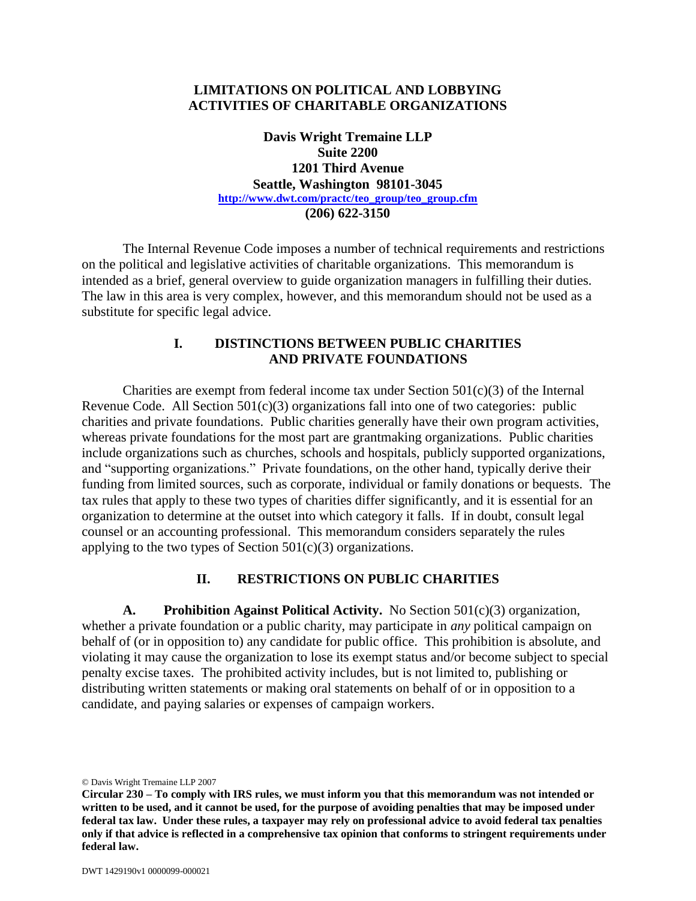### **LIMITATIONS ON POLITICAL AND LOBBYING ACTIVITIES OF CHARITABLE ORGANIZATIONS**

**Davis Wright Tremaine LLP Suite 2200 1201 Third Avenue Seattle, Washington 98101-3045 [http://www.dwt.com/practc/teo\\_group/teo\\_group.cfm](http://www.dwt.com/practc/teo_group/teo_group.cfm) (206) 622-3150**

The Internal Revenue Code imposes a number of technical requirements and restrictions on the political and legislative activities of charitable organizations. This memorandum is intended as a brief, general overview to guide organization managers in fulfilling their duties. The law in this area is very complex, however, and this memorandum should not be used as a substitute for specific legal advice.

### **I. DISTINCTIONS BETWEEN PUBLIC CHARITIES AND PRIVATE FOUNDATIONS**

Charities are exempt from federal income tax under Section  $501(c)(3)$  of the Internal Revenue Code. All Section  $501(c)(3)$  organizations fall into one of two categories: public charities and private foundations. Public charities generally have their own program activities, whereas private foundations for the most part are grantmaking organizations. Public charities include organizations such as churches, schools and hospitals, publicly supported organizations, and "supporting organizations." Private foundations, on the other hand, typically derive their funding from limited sources, such as corporate, individual or family donations or bequests. The tax rules that apply to these two types of charities differ significantly, and it is essential for an organization to determine at the outset into which category it falls. If in doubt, consult legal counsel or an accounting professional. This memorandum considers separately the rules applying to the two types of Section  $501(c)(3)$  organizations.

### **II. RESTRICTIONS ON PUBLIC CHARITIES**

**A. Prohibition Against Political Activity.** No Section 501(c)(3) organization, whether a private foundation or a public charity, may participate in *any* political campaign on behalf of (or in opposition to) any candidate for public office. This prohibition is absolute, and violating it may cause the organization to lose its exempt status and/or become subject to special penalty excise taxes. The prohibited activity includes, but is not limited to, publishing or distributing written statements or making oral statements on behalf of or in opposition to a candidate, and paying salaries or expenses of campaign workers.

© Davis Wright Tremaine LLP 2007

**Circular 230 – To comply with IRS rules, we must inform you that this memorandum was not intended or written to be used, and it cannot be used, for the purpose of avoiding penalties that may be imposed under federal tax law. Under these rules, a taxpayer may rely on professional advice to avoid federal tax penalties only if that advice is reflected in a comprehensive tax opinion that conforms to stringent requirements under federal law.**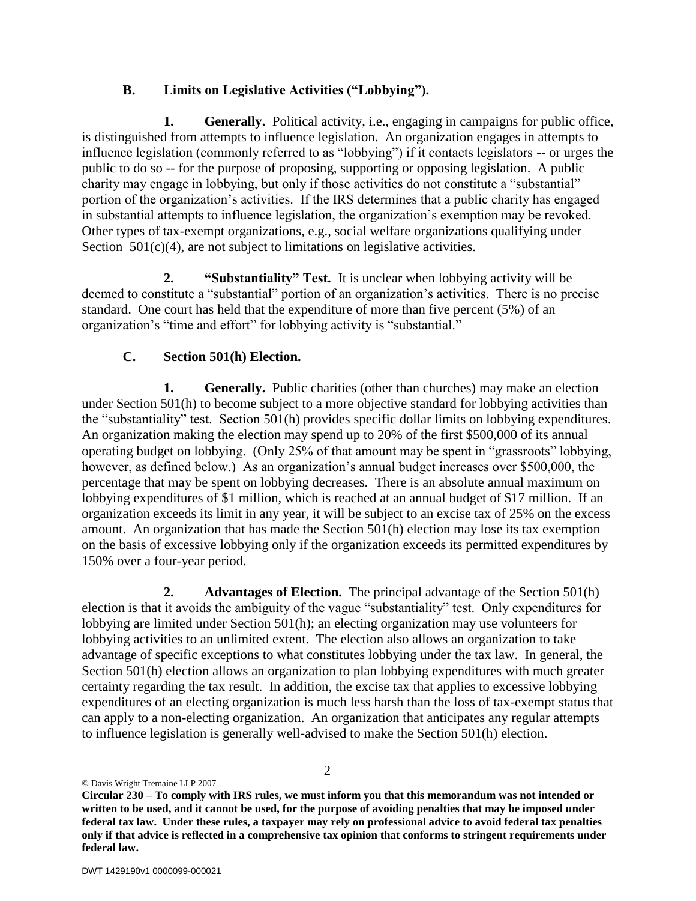## **B. Limits on Legislative Activities ("Lobbying").**

**1. Generally.** Political activity, i.e., engaging in campaigns for public office, is distinguished from attempts to influence legislation. An organization engages in attempts to influence legislation (commonly referred to as "lobbying") if it contacts legislators -- or urges the public to do so -- for the purpose of proposing, supporting or opposing legislation. A public charity may engage in lobbying, but only if those activities do not constitute a "substantial" portion of the organization's activities. If the IRS determines that a public charity has engaged in substantial attempts to influence legislation, the organization's exemption may be revoked. Other types of tax-exempt organizations, e.g., social welfare organizations qualifying under Section  $501(c)(4)$ , are not subject to limitations on legislative activities.

**2. "Substantiality" Test.** It is unclear when lobbying activity will be deemed to constitute a "substantial" portion of an organization's activities. There is no precise standard. One court has held that the expenditure of more than five percent (5%) of an organization's "time and effort" for lobbying activity is "substantial."

# **C. Section 501(h) Election.**

**1. Generally.** Public charities (other than churches) may make an election under Section 501(h) to become subject to a more objective standard for lobbying activities than the "substantiality" test. Section 501(h) provides specific dollar limits on lobbying expenditures. An organization making the election may spend up to 20% of the first \$500,000 of its annual operating budget on lobbying. (Only 25% of that amount may be spent in "grassroots" lobbying, however, as defined below.) As an organization's annual budget increases over \$500,000, the percentage that may be spent on lobbying decreases. There is an absolute annual maximum on lobbying expenditures of \$1 million, which is reached at an annual budget of \$17 million. If an organization exceeds its limit in any year, it will be subject to an excise tax of 25% on the excess amount. An organization that has made the Section 501(h) election may lose its tax exemption on the basis of excessive lobbying only if the organization exceeds its permitted expenditures by 150% over a four-year period.

**2. Advantages of Election.** The principal advantage of the Section 501(h) election is that it avoids the ambiguity of the vague "substantiality" test. Only expenditures for lobbying are limited under Section 501(h); an electing organization may use volunteers for lobbying activities to an unlimited extent. The election also allows an organization to take advantage of specific exceptions to what constitutes lobbying under the tax law. In general, the Section 501(h) election allows an organization to plan lobbying expenditures with much greater certainty regarding the tax result. In addition, the excise tax that applies to excessive lobbying expenditures of an electing organization is much less harsh than the loss of tax-exempt status that can apply to a non-electing organization. An organization that anticipates any regular attempts to influence legislation is generally well-advised to make the Section 501(h) election.

© Davis Wright Tremaine LLP 2007

**Circular 230 – To comply with IRS rules, we must inform you that this memorandum was not intended or written to be used, and it cannot be used, for the purpose of avoiding penalties that may be imposed under federal tax law. Under these rules, a taxpayer may rely on professional advice to avoid federal tax penalties only if that advice is reflected in a comprehensive tax opinion that conforms to stringent requirements under federal law.**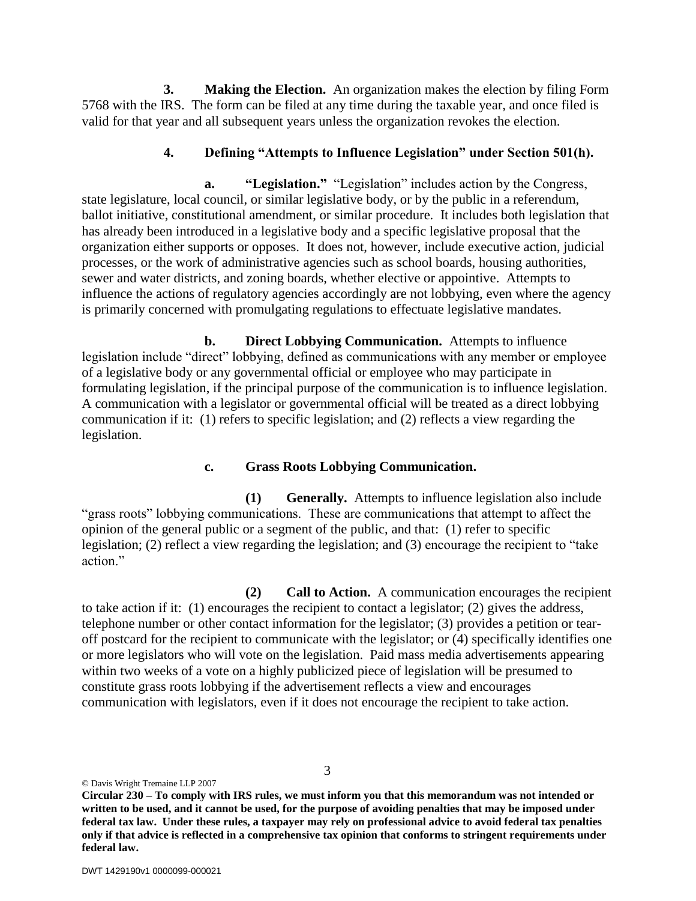**3. Making the Election.** An organization makes the election by filing Form 5768 with the IRS. The form can be filed at any time during the taxable year, and once filed is valid for that year and all subsequent years unless the organization revokes the election.

### **4. Defining "Attempts to Influence Legislation" under Section 501(h).**

**a. "Legislation."** "Legislation" includes action by the Congress, state legislature, local council, or similar legislative body, or by the public in a referendum, ballot initiative, constitutional amendment, or similar procedure. It includes both legislation that has already been introduced in a legislative body and a specific legislative proposal that the organization either supports or opposes. It does not, however, include executive action, judicial processes, or the work of administrative agencies such as school boards, housing authorities, sewer and water districts, and zoning boards, whether elective or appointive. Attempts to influence the actions of regulatory agencies accordingly are not lobbying, even where the agency is primarily concerned with promulgating regulations to effectuate legislative mandates.

**b. Direct Lobbying Communication.** Attempts to influence legislation include "direct" lobbying, defined as communications with any member or employee of a legislative body or any governmental official or employee who may participate in formulating legislation, if the principal purpose of the communication is to influence legislation. A communication with a legislator or governmental official will be treated as a direct lobbying communication if it: (1) refers to specific legislation; and (2) reflects a view regarding the legislation.

#### **c. Grass Roots Lobbying Communication.**

**(1) Generally.** Attempts to influence legislation also include "grass roots" lobbying communications. These are communications that attempt to affect the opinion of the general public or a segment of the public, and that: (1) refer to specific legislation; (2) reflect a view regarding the legislation; and (3) encourage the recipient to "take action"

**(2) Call to Action.** A communication encourages the recipient to take action if it: (1) encourages the recipient to contact a legislator; (2) gives the address, telephone number or other contact information for the legislator; (3) provides a petition or tearoff postcard for the recipient to communicate with the legislator; or (4) specifically identifies one or more legislators who will vote on the legislation. Paid mass media advertisements appearing within two weeks of a vote on a highly publicized piece of legislation will be presumed to constitute grass roots lobbying if the advertisement reflects a view and encourages communication with legislators, even if it does not encourage the recipient to take action.

© Davis Wright Tremaine LLP 2007

**Circular 230 – To comply with IRS rules, we must inform you that this memorandum was not intended or written to be used, and it cannot be used, for the purpose of avoiding penalties that may be imposed under federal tax law. Under these rules, a taxpayer may rely on professional advice to avoid federal tax penalties only if that advice is reflected in a comprehensive tax opinion that conforms to stringent requirements under federal law.**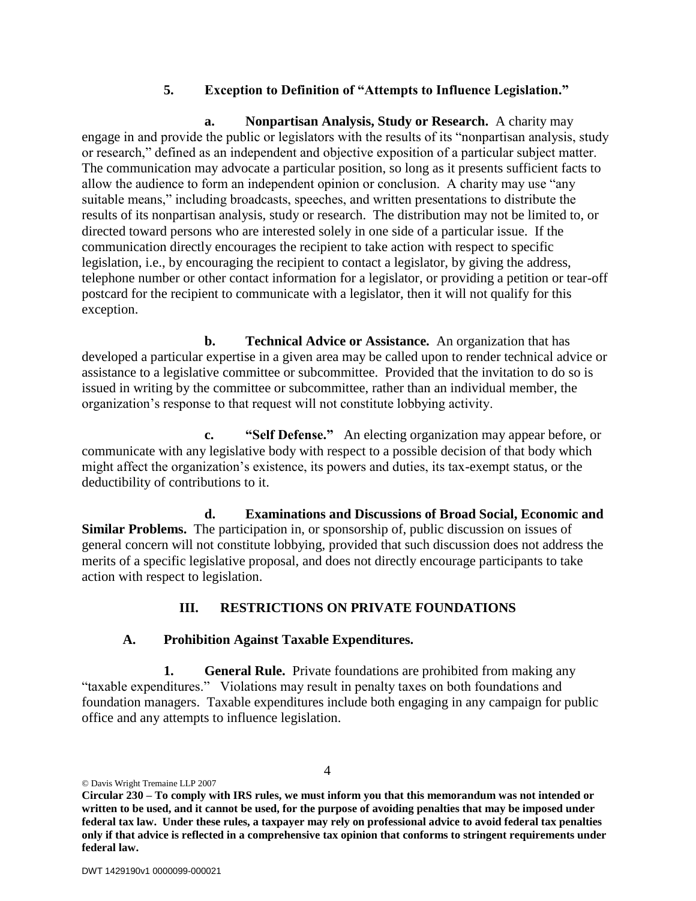## **5. Exception to Definition of "Attempts to Influence Legislation."**

**a. Nonpartisan Analysis, Study or Research.** A charity may engage in and provide the public or legislators with the results of its "nonpartisan analysis, study or research," defined as an independent and objective exposition of a particular subject matter. The communication may advocate a particular position, so long as it presents sufficient facts to allow the audience to form an independent opinion or conclusion. A charity may use "any suitable means," including broadcasts, speeches, and written presentations to distribute the results of its nonpartisan analysis, study or research. The distribution may not be limited to, or directed toward persons who are interested solely in one side of a particular issue. If the communication directly encourages the recipient to take action with respect to specific legislation, i.e., by encouraging the recipient to contact a legislator, by giving the address, telephone number or other contact information for a legislator, or providing a petition or tear-off postcard for the recipient to communicate with a legislator, then it will not qualify for this exception.

**b. Technical Advice or Assistance.** An organization that has developed a particular expertise in a given area may be called upon to render technical advice or assistance to a legislative committee or subcommittee. Provided that the invitation to do so is issued in writing by the committee or subcommittee, rather than an individual member, the organization's response to that request will not constitute lobbying activity.

**c. "Self Defense."** An electing organization may appear before, or communicate with any legislative body with respect to a possible decision of that body which might affect the organization's existence, its powers and duties, its tax-exempt status, or the deductibility of contributions to it.

**d. Examinations and Discussions of Broad Social, Economic and Similar Problems.** The participation in, or sponsorship of, public discussion on issues of general concern will not constitute lobbying, provided that such discussion does not address the merits of a specific legislative proposal, and does not directly encourage participants to take action with respect to legislation.

## **III. RESTRICTIONS ON PRIVATE FOUNDATIONS**

## **A. Prohibition Against Taxable Expenditures.**

**1. General Rule.** Private foundations are prohibited from making any "taxable expenditures." Violations may result in penalty taxes on both foundations and foundation managers. Taxable expenditures include both engaging in any campaign for public office and any attempts to influence legislation.

© Davis Wright Tremaine LLP 2007

**Circular 230 – To comply with IRS rules, we must inform you that this memorandum was not intended or written to be used, and it cannot be used, for the purpose of avoiding penalties that may be imposed under federal tax law. Under these rules, a taxpayer may rely on professional advice to avoid federal tax penalties only if that advice is reflected in a comprehensive tax opinion that conforms to stringent requirements under federal law.**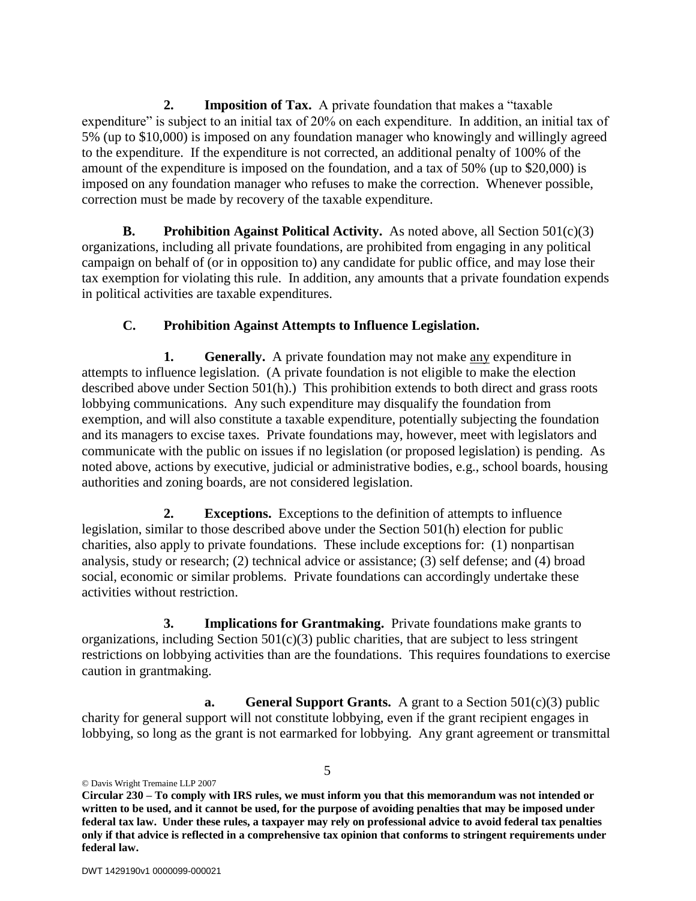**2. Imposition of Tax.** A private foundation that makes a "taxable expenditure" is subject to an initial tax of 20% on each expenditure. In addition, an initial tax of 5% (up to \$10,000) is imposed on any foundation manager who knowingly and willingly agreed to the expenditure. If the expenditure is not corrected, an additional penalty of 100% of the amount of the expenditure is imposed on the foundation, and a tax of 50% (up to \$20,000) is imposed on any foundation manager who refuses to make the correction. Whenever possible, correction must be made by recovery of the taxable expenditure.

**B. Prohibition Against Political Activity.** As noted above, all Section 501(c)(3) organizations, including all private foundations, are prohibited from engaging in any political campaign on behalf of (or in opposition to) any candidate for public office, and may lose their tax exemption for violating this rule. In addition, any amounts that a private foundation expends in political activities are taxable expenditures.

# **C. Prohibition Against Attempts to Influence Legislation.**

**1. Generally.** A private foundation may not make any expenditure in attempts to influence legislation. (A private foundation is not eligible to make the election described above under Section 501(h).) This prohibition extends to both direct and grass roots lobbying communications. Any such expenditure may disqualify the foundation from exemption, and will also constitute a taxable expenditure, potentially subjecting the foundation and its managers to excise taxes. Private foundations may, however, meet with legislators and communicate with the public on issues if no legislation (or proposed legislation) is pending. As noted above, actions by executive, judicial or administrative bodies, e.g., school boards, housing authorities and zoning boards, are not considered legislation.

**2. Exceptions.** Exceptions to the definition of attempts to influence legislation, similar to those described above under the Section 501(h) election for public charities, also apply to private foundations. These include exceptions for: (1) nonpartisan analysis, study or research; (2) technical advice or assistance; (3) self defense; and (4) broad social, economic or similar problems. Private foundations can accordingly undertake these activities without restriction.

**3. Implications for Grantmaking.** Private foundations make grants to organizations, including Section  $501(c)(3)$  public charities, that are subject to less stringent restrictions on lobbying activities than are the foundations. This requires foundations to exercise caution in grantmaking.

**a. General Support Grants.** A grant to a Section 501(c)(3) public charity for general support will not constitute lobbying, even if the grant recipient engages in lobbying, so long as the grant is not earmarked for lobbying. Any grant agreement or transmittal

© Davis Wright Tremaine LLP 2007

**Circular 230 – To comply with IRS rules, we must inform you that this memorandum was not intended or written to be used, and it cannot be used, for the purpose of avoiding penalties that may be imposed under federal tax law. Under these rules, a taxpayer may rely on professional advice to avoid federal tax penalties only if that advice is reflected in a comprehensive tax opinion that conforms to stringent requirements under federal law.**